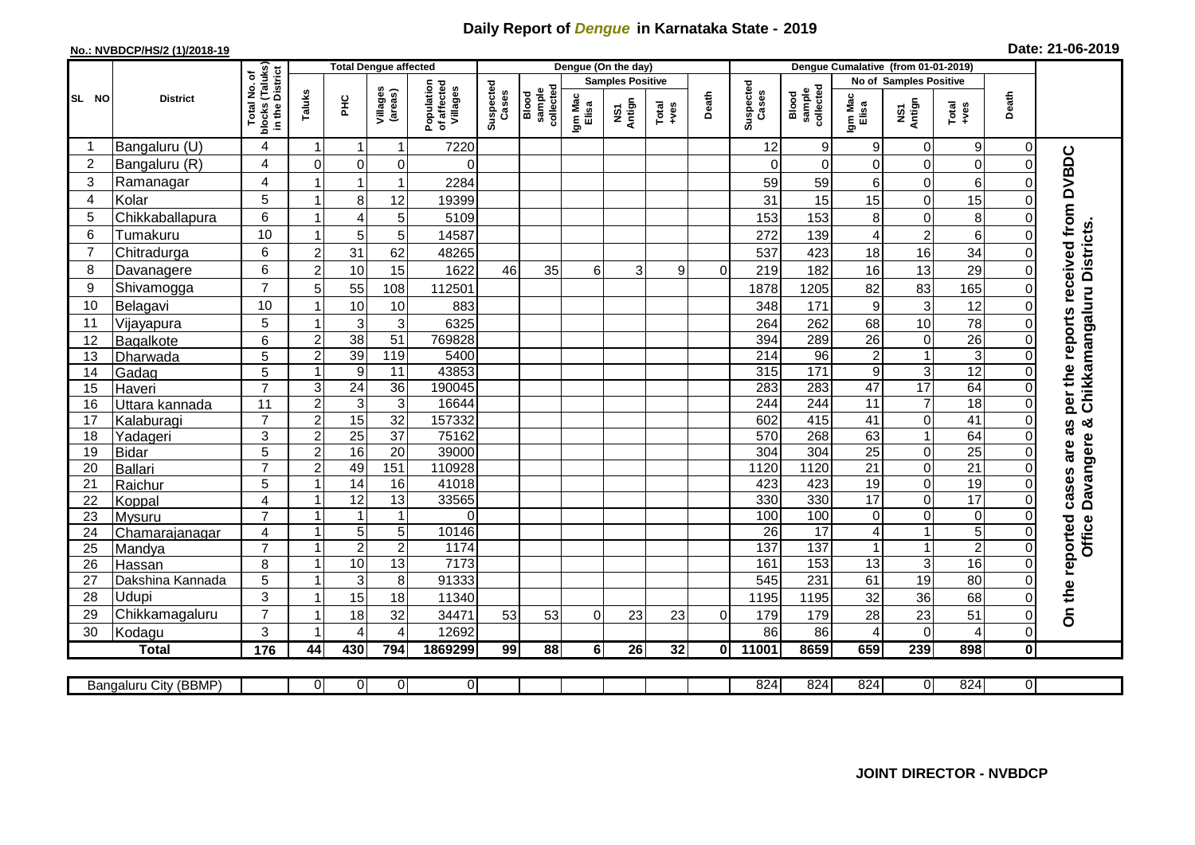## **Daily Report of** *Dengue* **in Karnataka State - 2019**

## **No.: NVBDCP/HS/2 (1)/2018-19**

| Date: 21-06-2019 |  |  |  |  |
|------------------|--|--|--|--|
|------------------|--|--|--|--|

|                |                            |                                  |                                  | <b>Total Dengue affected</b>     |                     |                                       | Dengue (On the day) |                              |                  |                                |               |          | Dengue Cumalative (from 01-01-2019) |                                     |                     |                                |                                  |                     |                                                            |
|----------------|----------------------------|----------------------------------|----------------------------------|----------------------------------|---------------------|---------------------------------------|---------------------|------------------------------|------------------|--------------------------------|---------------|----------|-------------------------------------|-------------------------------------|---------------------|--------------------------------|----------------------------------|---------------------|------------------------------------------------------------|
|                |                            | l No. of<br>(Taluks)<br>District |                                  |                                  |                     |                                       |                     |                              |                  | <b>Samples Positive</b>        |               |          |                                     |                                     |                     | <b>No of Samples Positive</b>  |                                  |                     |                                                            |
| SL NO          | <b>District</b>            | Total<br>blocks<br>in the        | Taluks                           | 오<br>도                           | Villages<br>(areas) | Population<br>of affected<br>Villages | Suspected<br>Cases  | sample<br>collected<br>Blood | Igm Mac<br>Elisa | Antign<br>$\mathbf{\tilde{s}}$ | Total<br>+ves | Death    | Suspected<br>Cases                  | collected<br>sample<br>Blood        | Igm Mac<br>Elisa    | Antign<br>Σή                   | Total<br>+ves                    | Death               |                                                            |
|                | Bangaluru (U)              | 4                                | -1                               | -1                               | 1                   | 7220                                  |                     |                              |                  |                                |               |          | 12                                  | 9                                   | 9                   | 0                              | 9                                | 0                   |                                                            |
| $\overline{2}$ | Bangaluru (R)              | 4                                | $\Omega$                         | $\mathbf 0$                      | 0                   | $\Omega$                              |                     |                              |                  |                                |               |          | $\Omega$                            | $\Omega$                            | $\overline{0}$      | 0                              | $\mathbf 0$                      | $\Omega$            |                                                            |
| 3              | Ramanagar                  | 4                                |                                  | $\overline{1}$                   | 1                   | 2284                                  |                     |                              |                  |                                |               |          | 59                                  | 59                                  | 6                   | $\mathbf 0$                    | $6\phantom{1}6$                  | U                   | <b>DVBDC</b>                                               |
| 4              | Kolar                      | 5                                |                                  | 8                                | 12                  | 19399                                 |                     |                              |                  |                                |               |          | 31                                  | 15                                  | 15                  | $\mathsf 0$                    | 15                               | 0                   |                                                            |
| 5              | Chikkaballapura            | 6                                |                                  | $\overline{4}$                   | 5                   | 5109                                  |                     |                              |                  |                                |               |          | 153                                 | 153                                 | $\bf 8$             | $\mathbf 0$                    | 8                                | 0                   |                                                            |
| 6              | Tumakuru                   | 10                               | $\overline{1}$                   | 5                                | 5                   | 14587                                 |                     |                              |                  |                                |               |          | 272                                 | 139                                 | 4                   | $\overline{c}$                 | $\,6\,$                          | 0                   |                                                            |
| 7              | Chitradurga                | 6                                | $\overline{2}$                   | 31                               | 62                  | 48265                                 |                     |                              |                  |                                |               |          | 537                                 | 423                                 | 18                  | 16                             | 34                               | 0                   |                                                            |
| 8              | Davanagere                 | 6                                | $\overline{2}$                   | 10                               | 15                  | 1622                                  | 46                  | 35                           | 6                | 3                              | 9             | $\Omega$ | 219                                 | 182                                 | 16                  | 13                             | 29                               | $\Omega$            |                                                            |
| 9              | Shivamogga                 | $\overline{7}$                   | 5                                | 55                               | 108                 | 112501                                |                     |                              |                  |                                |               |          | 1878                                | 1205                                | 82                  | 83                             | 165                              | 0                   | per the reports received from<br>Chikkamangaluru Districts |
| 10             | Belagavi                   | 10                               |                                  | 10                               | 10                  | 883                                   |                     |                              |                  |                                |               |          | 348                                 | 171                                 | 9                   | $\mathbf{3}$                   | 12                               | $\Omega$            |                                                            |
| 11             | Vijayapura                 | 5                                |                                  | 3                                | 3                   | 6325                                  |                     |                              |                  |                                |               |          | 264                                 | 262                                 | 68                  | 10                             | $\overline{78}$                  | 0                   |                                                            |
| 12             | Bagalkote                  | 6                                | $\overline{2}$                   | $\overline{38}$                  | 51                  | 769828                                |                     |                              |                  |                                |               |          | 394                                 | 289                                 | $\overline{26}$     | $\mathbf 0$                    | 26                               | $\mathbf{0}$        |                                                            |
| 13             | Dharwada                   | 5                                | $\overline{c}$                   | 39                               | 119                 | 5400                                  |                     |                              |                  |                                |               |          | $\overline{214}$                    | 96                                  | $\overline{a}$      | $\mathbf{1}$                   | $\overline{3}$                   | $\Omega$            |                                                            |
| 14             | Gadag                      | 5                                | $\overline{1}$                   | 9                                | 11                  | 43853                                 |                     |                              |                  |                                |               |          | 315                                 | $\frac{1}{171}$                     | $\boldsymbol{9}$    | $\overline{3}$                 | 12                               | $\Omega$            |                                                            |
| 15             | Haveri                     | $\overline{7}$                   | 3                                | 24                               | 36                  | 190045                                |                     |                              |                  |                                |               |          | 283                                 | 283                                 | $\overline{47}$     | 17                             | 64                               | $\Omega$            |                                                            |
| 16             | Uttara kannada             | 11                               | $\overline{2}$                   | $\overline{3}$                   | $\mathbf{3}$        | 16644                                 |                     |                              |                  |                                |               |          | 244                                 | 244                                 | $\overline{11}$     | $\overline{7}$                 | 18                               | $\Omega$            |                                                            |
| 17             | Kalaburagi                 | $\overline{7}$                   | $\overline{2}$                   | 15                               | 32                  | 157332                                |                     |                              |                  |                                |               |          | 602                                 | 415                                 | $\overline{41}$     | $\overline{0}$                 | 41                               | $\Omega$            | න්<br>3g                                                   |
| 18             | Yadageri                   | 3                                | $\overline{2}$                   | 25                               | $\overline{37}$     | 75162                                 |                     |                              |                  |                                |               |          | 570                                 | 268                                 | 63                  | $\mathbf{1}$                   | 64                               | 0                   |                                                            |
| 19             | <b>Bidar</b>               | 5                                | $\overline{2}$                   | 16                               | 20                  | 39000                                 |                     |                              |                  |                                |               |          | 304                                 | 304                                 | $\overline{25}$     | $\overline{0}$                 | $\overline{25}$                  | $\Omega$            | are                                                        |
| 20             | Ballari                    | $\overline{7}$                   | $\overline{2}$                   | 49                               | 151                 | 110928                                |                     |                              |                  |                                |               |          | 1120                                | 1120                                | $\overline{21}$     | $\overline{0}$                 | 21                               | 0                   |                                                            |
| 21             | Raichur                    | 5                                | -1                               | $\overline{14}$                  | 16                  | 41018                                 |                     |                              |                  |                                |               |          | 423                                 | 423                                 | 19                  | $\mathbf 0$                    | 19                               | $\Omega$            | Davangere<br>cases                                         |
| 22             | Koppal                     | $\overline{4}$                   | $\overline{1}$                   | 12                               | $\overline{13}$     | 33565                                 |                     |                              |                  |                                |               |          | 330                                 | 330                                 | 17                  | $\overline{0}$                 | $\overline{17}$                  | $\Omega$            |                                                            |
| 23             | Mysuru                     | $\overline{7}$                   | $\overline{1}$<br>$\overline{1}$ | $\mathbf{1}$                     | $\mathbf{1}$        | $\Omega$                              |                     |                              |                  |                                |               |          | 100                                 | 100                                 | $\Omega$            | $\mathbf 0$                    | $\mathbf 0$                      | $\Omega$            | <b>Office</b>                                              |
| 24             | Chamarajanagar             | 4<br>$\overline{7}$              | $\overline{1}$                   | $\overline{5}$<br>$\overline{2}$ | 5<br>$\overline{c}$ | 10146<br>1174                         |                     |                              |                  |                                |               |          | $\overline{26}$<br>137              | $\overline{17}$<br>$\overline{137}$ | 4<br>$\overline{1}$ | $\overline{1}$<br>$\mathbf{1}$ | $\overline{5}$<br>$\overline{2}$ | $\Omega$            |                                                            |
| 25             | Mandya                     | 8                                | $\overline{1}$                   | 10                               | $\overline{13}$     | 7173                                  |                     |                              |                  |                                |               |          | 161                                 | 153                                 | 13                  | $\ensuremath{\mathsf{3}}$      | 16                               | $\overline{0}$<br>0 |                                                            |
| 26             | Hassan<br>Dakshina Kannada | 5                                | $\overline{1}$                   | 3                                | 8                   | 91333                                 |                     |                              |                  |                                |               |          | 545                                 | 231                                 | 61                  | 19                             | 80                               | 0                   |                                                            |
| 27<br>28       | Udupi                      | 3                                | -1                               | 15                               | 18                  | 11340                                 |                     |                              |                  |                                |               |          | 1195                                | 1195                                | 32                  | 36                             | 68                               | U                   |                                                            |
| 29             | Chikkamagaluru             | $\overline{7}$                   |                                  | 18                               | 32                  | 34471                                 | 53                  | 53                           | $\Omega$         | 23                             | 23            | $\Omega$ | 179                                 | 179                                 | 28                  | 23                             | 51                               | $\Omega$            | On the reported                                            |
| 30             | Kodagu                     | 3                                |                                  | $\overline{4}$                   | 4                   | 12692                                 |                     |                              |                  |                                |               |          | 86                                  | 86                                  | 4                   | $\mathbf 0$                    | $\overline{4}$                   | Οl                  |                                                            |
|                | <b>Total</b>               | $\frac{1}{176}$                  | 44                               | 430                              | 794                 | 1869299                               | 99                  | 88                           | 6                | 26                             | 32            | 0l       | 11001                               | 8659                                | 659                 | 239                            | 898                              | 0                   |                                                            |
|                |                            |                                  |                                  |                                  |                     |                                       |                     |                              |                  |                                |               |          |                                     |                                     |                     |                                |                                  |                     |                                                            |
|                | Bangaluru City (BBMP)      |                                  | $\overline{0}$                   | $\overline{0}$                   | $\overline{0}$      | $\overline{0}$                        |                     |                              |                  |                                |               |          | 824                                 | 824                                 | 824                 | $\mathbf 0$                    | 824                              | $\overline{0}$      |                                                            |